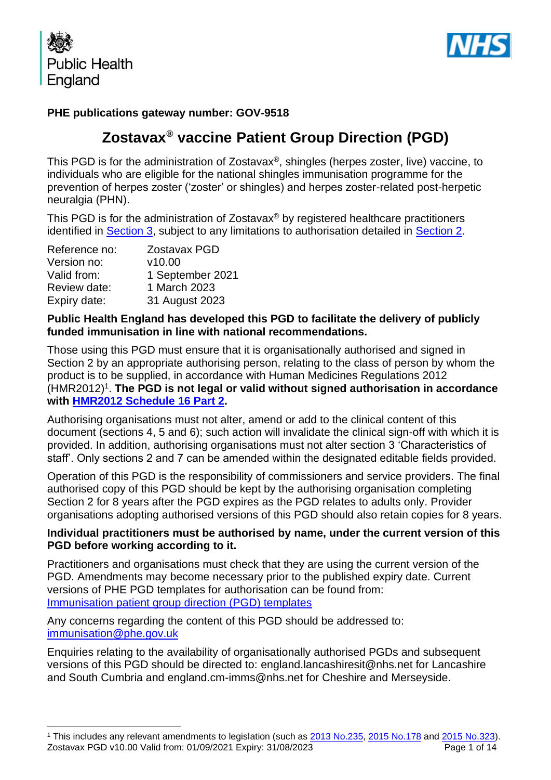



### **PHE publications gateway number: GOV-9518**

## **Zostavax® vaccine Patient Group Direction (PGD)**

This PGD is for the administration of Zostavax®, shingles (herpes zoster, live) vaccine, to individuals who are eligible for the national shingles immunisation programme for the prevention of herpes zoster ('zoster' or shingles) and herpes zoster-related post-herpetic neuralgia (PHN).

This PGD is for the administration of Zostavax<sup>®</sup> by registered healthcare practitioners identified in [Section 3,](#page-4-0) subject to any limitations to authorisation detailed in [Section 2.](#page-3-0)

| Reference no: | <b>Zostavax PGD</b> |
|---------------|---------------------|
| Version no:   | v10.00              |
| Valid from:   | 1 September 2021    |
| Review date:  | 1 March 2023        |
| Expiry date:  | 31 August 2023      |

#### **Public Health England has developed this PGD to facilitate the delivery of publicly funded immunisation in line with national recommendations.**

Those using this PGD must ensure that it is organisationally authorised and signed in Section 2 by an appropriate authorising person, relating to the class of person by whom the product is to be supplied, in accordance with Human Medicines Regulations 2012 (HMR2012)<sup>1</sup>. The PGD is not legal or valid without signed authorisation in accordance **with [HMR2012 Schedule](http://www.legislation.gov.uk/uksi/2012/1916/schedule/16/part/2/made) 16 Part 2.** 

Authorising organisations must not alter, amend or add to the clinical content of this document (sections 4, 5 and 6); such action will invalidate the clinical sign-off with which it is provided. In addition, authorising organisations must not alter section 3 'Characteristics of staff'. Only sections 2 and 7 can be amended within the designated editable fields provided.

Operation of this PGD is the responsibility of commissioners and service providers. The final authorised copy of this PGD should be kept by the authorising organisation completing Section 2 for 8 years after the PGD expires as the PGD relates to adults only. Provider organisations adopting authorised versions of this PGD should also retain copies for 8 years.

#### **Individual practitioners must be authorised by name, under the current version of this PGD before working according to it.**

Practitioners and organisations must check that they are using the current version of the PGD. Amendments may become necessary prior to the published expiry date. Current versions of PHE PGD templates for authorisation can be found from: [Immunisation patient group direction \(PGD\) templates](https://www.gov.uk/government/collections/immunisation-patient-group-direction-pgd)

Any concerns regarding the content of this PGD should be addressed to: [immunisation@phe.gov.uk](mailto:Immunisation@phe.gov.uk)

Enquiries relating to the availability of organisationally authorised PGDs and subsequent versions of this PGD should be directed to: england.lancashiresit@nhs.net for Lancashire and South Cumbria and england.cm-imms@nhs.net for Cheshire and Merseyside.

Zostavax PGD v10.00 Valid from: 01/09/2021 Expiry: 31/08/2023 **Page 1 of 14** <sup>1</sup> This includes any relevant amendments to legislation (such as [2013 No.235,](http://www.legislation.gov.uk/uksi/2013/235/contents/made) [2015 No.178](http://www.legislation.gov.uk/nisr/2015/178/contents/made) and [2015 No.323\)](http://www.legislation.gov.uk/uksi/2015/323/contents/made).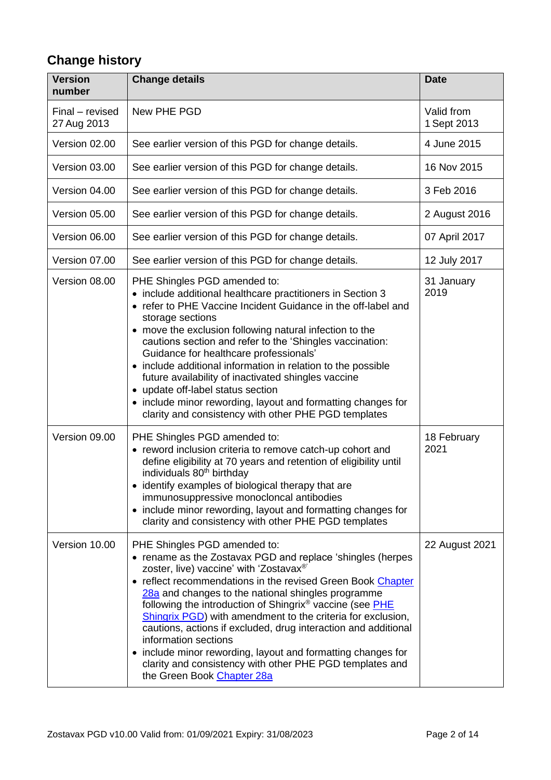# **Change history**

| <b>Version</b><br>number       | <b>Change details</b>                                                                                                                                                                                                                                                                                                                                                                                                                                                                                                                                                                                                                                                   | <b>Date</b>               |
|--------------------------------|-------------------------------------------------------------------------------------------------------------------------------------------------------------------------------------------------------------------------------------------------------------------------------------------------------------------------------------------------------------------------------------------------------------------------------------------------------------------------------------------------------------------------------------------------------------------------------------------------------------------------------------------------------------------------|---------------------------|
| Final – revised<br>27 Aug 2013 | New PHE PGD                                                                                                                                                                                                                                                                                                                                                                                                                                                                                                                                                                                                                                                             | Valid from<br>1 Sept 2013 |
| Version 02.00                  | See earlier version of this PGD for change details.                                                                                                                                                                                                                                                                                                                                                                                                                                                                                                                                                                                                                     | 4 June 2015               |
| Version 03.00                  | See earlier version of this PGD for change details.                                                                                                                                                                                                                                                                                                                                                                                                                                                                                                                                                                                                                     | 16 Nov 2015               |
| Version 04.00                  | See earlier version of this PGD for change details.                                                                                                                                                                                                                                                                                                                                                                                                                                                                                                                                                                                                                     | 3 Feb 2016                |
| Version 05.00                  | See earlier version of this PGD for change details.                                                                                                                                                                                                                                                                                                                                                                                                                                                                                                                                                                                                                     | 2 August 2016             |
| Version 06.00                  | See earlier version of this PGD for change details.                                                                                                                                                                                                                                                                                                                                                                                                                                                                                                                                                                                                                     | 07 April 2017             |
| Version 07.00                  | See earlier version of this PGD for change details.                                                                                                                                                                                                                                                                                                                                                                                                                                                                                                                                                                                                                     | 12 July 2017              |
| Version 08.00                  | PHE Shingles PGD amended to:<br>• include additional healthcare practitioners in Section 3<br>• refer to PHE Vaccine Incident Guidance in the off-label and<br>storage sections<br>• move the exclusion following natural infection to the<br>cautions section and refer to the 'Shingles vaccination:<br>Guidance for healthcare professionals'<br>• include additional information in relation to the possible<br>future availability of inactivated shingles vaccine<br>• update off-label status section<br>• include minor rewording, layout and formatting changes for<br>clarity and consistency with other PHE PGD templates                                    | 31 January<br>2019        |
| Version 09.00                  | PHE Shingles PGD amended to:<br>• reword inclusion criteria to remove catch-up cohort and<br>define eligibility at 70 years and retention of eligibility until<br>individuals 80 <sup>th</sup> birthday<br>• identify examples of biological therapy that are<br>immunosuppressive monocloncal antibodies<br>• include minor rewording, layout and formatting changes for<br>clarity and consistency with other PHE PGD templates                                                                                                                                                                                                                                       | 18 February<br>2021       |
| Version 10.00                  | PHE Shingles PGD amended to:<br>• rename as the Zostavax PGD and replace 'shingles (herpes<br>zoster, live) vaccine' with 'Zostavax®'<br>• reflect recommendations in the revised Green Book Chapter<br>28a and changes to the national shingles programme<br>following the introduction of Shingrix <sup>®</sup> vaccine (see PHE<br><b>Shingrix PGD)</b> with amendment to the criteria for exclusion,<br>cautions, actions if excluded, drug interaction and additional<br>information sections<br>include minor rewording, layout and formatting changes for<br>$\bullet$<br>clarity and consistency with other PHE PGD templates and<br>the Green Book Chapter 28a | 22 August 2021            |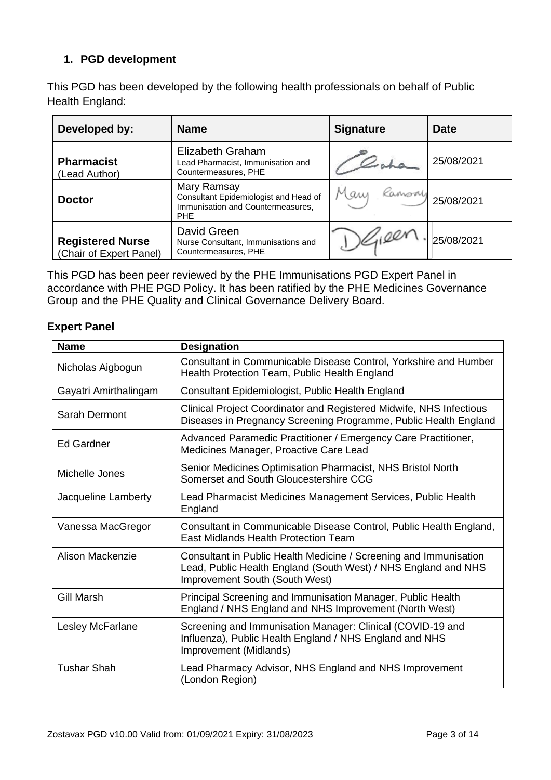### **1. PGD development**

This PGD has been developed by the following health professionals on behalf of Public Health England:

| Developed by:                                      | <b>Name</b>                                                                                             | <b>Signature</b> | <b>Date</b> |
|----------------------------------------------------|---------------------------------------------------------------------------------------------------------|------------------|-------------|
| <b>Pharmacist</b><br>(Lead Author)                 | Elizabeth Graham<br>Lead Pharmacist, Immunisation and<br>Countermeasures, PHE                           |                  | 25/08/2021  |
| <b>Doctor</b>                                      | Mary Ramsay<br>Consultant Epidemiologist and Head of<br>Immunisation and Countermeasures,<br><b>PHE</b> | Mary Ramsoy      | 25/08/2021  |
| <b>Registered Nurse</b><br>(Chair of Expert Panel) | David Green<br>Nurse Consultant, Immunisations and<br>Countermeasures, PHE                              |                  | 25/08/2021  |

This PGD has been peer reviewed by the PHE Immunisations PGD Expert Panel in accordance with PHE PGD Policy. It has been ratified by the PHE Medicines Governance Group and the PHE Quality and Clinical Governance Delivery Board.

### **Expert Panel**

| <b>Name</b>             | <b>Designation</b>                                                                                                                                                    |
|-------------------------|-----------------------------------------------------------------------------------------------------------------------------------------------------------------------|
| Nicholas Aigbogun       | Consultant in Communicable Disease Control, Yorkshire and Humber<br>Health Protection Team, Public Health England                                                     |
| Gayatri Amirthalingam   | Consultant Epidemiologist, Public Health England                                                                                                                      |
| Sarah Dermont           | Clinical Project Coordinator and Registered Midwife, NHS Infectious<br>Diseases in Pregnancy Screening Programme, Public Health England                               |
| <b>Ed Gardner</b>       | Advanced Paramedic Practitioner / Emergency Care Practitioner,<br>Medicines Manager, Proactive Care Lead                                                              |
| Michelle Jones          | Senior Medicines Optimisation Pharmacist, NHS Bristol North<br>Somerset and South Gloucestershire CCG                                                                 |
| Jacqueline Lamberty     | Lead Pharmacist Medicines Management Services, Public Health<br>England                                                                                               |
| Vanessa MacGregor       | Consultant in Communicable Disease Control, Public Health England,<br>East Midlands Health Protection Team                                                            |
| Alison Mackenzie        | Consultant in Public Health Medicine / Screening and Immunisation<br>Lead, Public Health England (South West) / NHS England and NHS<br>Improvement South (South West) |
| <b>Gill Marsh</b>       | Principal Screening and Immunisation Manager, Public Health<br>England / NHS England and NHS Improvement (North West)                                                 |
| <b>Lesley McFarlane</b> | Screening and Immunisation Manager: Clinical (COVID-19 and<br>Influenza), Public Health England / NHS England and NHS<br>Improvement (Midlands)                       |
| <b>Tushar Shah</b>      | Lead Pharmacy Advisor, NHS England and NHS Improvement<br>(London Region)                                                                                             |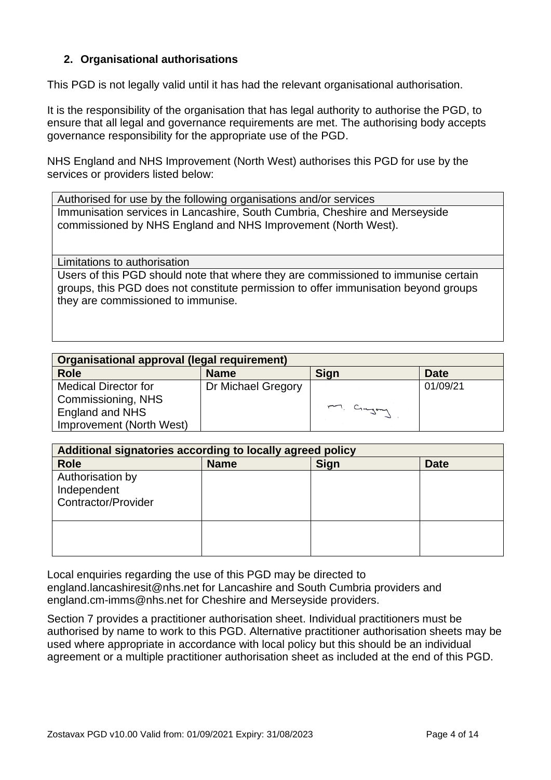### **2. Organisational authorisations**

This PGD is not legally valid until it has had the relevant organisational authorisation.

It is the responsibility of the organisation that has legal authority to authorise the PGD, to ensure that all legal and governance requirements are met. The authorising body accepts governance responsibility for the appropriate use of the PGD.

NHS England and NHS Improvement (North West) authorises this PGD for use by the services or providers listed below:

Authorised for use by the following organisations and/or services Immunisation services in Lancashire, South Cumbria, Cheshire and Merseyside commissioned by NHS England and NHS Improvement (North West).

<span id="page-3-0"></span>Limitations to authorisation

Users of this PGD should note that where they are commissioned to immunise certain groups, this PGD does not constitute permission to offer immunisation beyond groups they are commissioned to immunise.

| Organisational approval (legal requirement) |                    |             |             |
|---------------------------------------------|--------------------|-------------|-------------|
| <b>Role</b>                                 | <b>Name</b>        | <b>Sign</b> | <b>Date</b> |
| <b>Medical Director for</b>                 | Dr Michael Gregory |             | 01/09/21    |
| Commissioning, NHS                          |                    |             |             |
| England and NHS                             |                    | M. Cingay   |             |
| Improvement (North West)                    |                    |             |             |

| Additional signatories according to locally agreed policy     |             |             |             |
|---------------------------------------------------------------|-------------|-------------|-------------|
| <b>Role</b>                                                   | <b>Name</b> | <b>Sign</b> | <b>Date</b> |
| Authorisation by<br>Independent<br><b>Contractor/Provider</b> |             |             |             |
|                                                               |             |             |             |

Local enquiries regarding the use of this PGD may be directed to england.lancashiresit@nhs.net for Lancashire and South Cumbria providers and england.cm-imms@nhs.net for Cheshire and Merseyside providers.

Section 7 provides a practitioner authorisation sheet. Individual practitioners must be authorised by name to work to this PGD. Alternative practitioner authorisation sheets may be used where appropriate in accordance with local policy but this should be an individual agreement or a multiple practitioner authorisation sheet as included at the end of this PGD.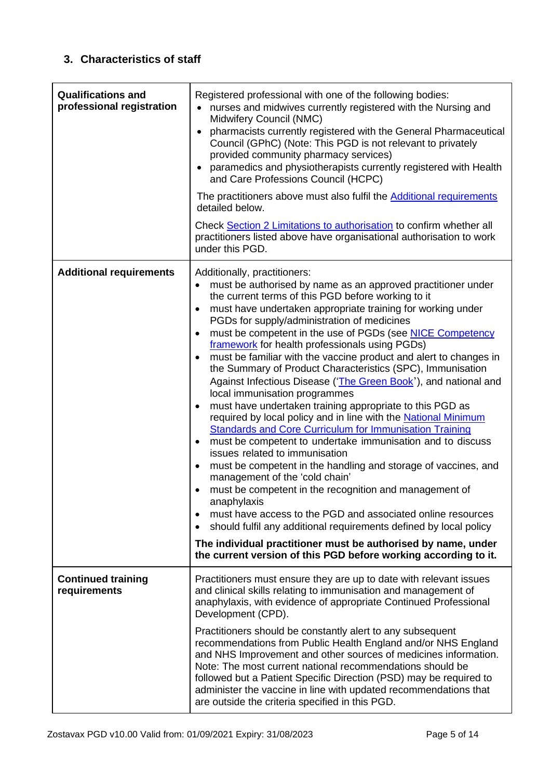### <span id="page-4-0"></span>**3. Characteristics of staff**

<span id="page-4-1"></span>

| <b>Qualifications and</b><br>professional registration | Registered professional with one of the following bodies:<br>nurses and midwives currently registered with the Nursing and<br>Midwifery Council (NMC)<br>pharmacists currently registered with the General Pharmaceutical<br>$\bullet$<br>Council (GPhC) (Note: This PGD is not relevant to privately<br>provided community pharmacy services)<br>• paramedics and physiotherapists currently registered with Health<br>and Care Professions Council (HCPC)<br>The practitioners above must also fulfil the Additional requirements<br>detailed below.<br>Check Section 2 Limitations to authorisation to confirm whether all<br>practitioners listed above have organisational authorisation to work<br>under this PGD.                                                                                                                                                                                                                                                                                                                                                                                                                                                                                                                                                                                                                                                                                           |
|--------------------------------------------------------|--------------------------------------------------------------------------------------------------------------------------------------------------------------------------------------------------------------------------------------------------------------------------------------------------------------------------------------------------------------------------------------------------------------------------------------------------------------------------------------------------------------------------------------------------------------------------------------------------------------------------------------------------------------------------------------------------------------------------------------------------------------------------------------------------------------------------------------------------------------------------------------------------------------------------------------------------------------------------------------------------------------------------------------------------------------------------------------------------------------------------------------------------------------------------------------------------------------------------------------------------------------------------------------------------------------------------------------------------------------------------------------------------------------------|
| <b>Additional requirements</b>                         | Additionally, practitioners:<br>must be authorised by name as an approved practitioner under<br>the current terms of this PGD before working to it<br>must have undertaken appropriate training for working under<br>PGDs for supply/administration of medicines<br>must be competent in the use of PGDs (see NICE Competency<br>$\bullet$<br>framework for health professionals using PGDs)<br>must be familiar with the vaccine product and alert to changes in<br>the Summary of Product Characteristics (SPC), Immunisation<br>Against Infectious Disease ('The Green Book'), and national and<br>local immunisation programmes<br>must have undertaken training appropriate to this PGD as<br>required by local policy and in line with the National Minimum<br><b>Standards and Core Curriculum for Immunisation Training</b><br>must be competent to undertake immunisation and to discuss<br>issues related to immunisation<br>must be competent in the handling and storage of vaccines, and<br>$\bullet$<br>management of the 'cold chain'<br>must be competent in the recognition and management of<br>anaphylaxis<br>must have access to the PGD and associated online resources<br>should fulfil any additional requirements defined by local policy<br>$\bullet$<br>The individual practitioner must be authorised by name, under<br>the current version of this PGD before working according to it. |
| <b>Continued training</b><br>requirements              | Practitioners must ensure they are up to date with relevant issues<br>and clinical skills relating to immunisation and management of<br>anaphylaxis, with evidence of appropriate Continued Professional<br>Development (CPD).<br>Practitioners should be constantly alert to any subsequent<br>recommendations from Public Health England and/or NHS England<br>and NHS Improvement and other sources of medicines information.<br>Note: The most current national recommendations should be<br>followed but a Patient Specific Direction (PSD) may be required to<br>administer the vaccine in line with updated recommendations that<br>are outside the criteria specified in this PGD.                                                                                                                                                                                                                                                                                                                                                                                                                                                                                                                                                                                                                                                                                                                         |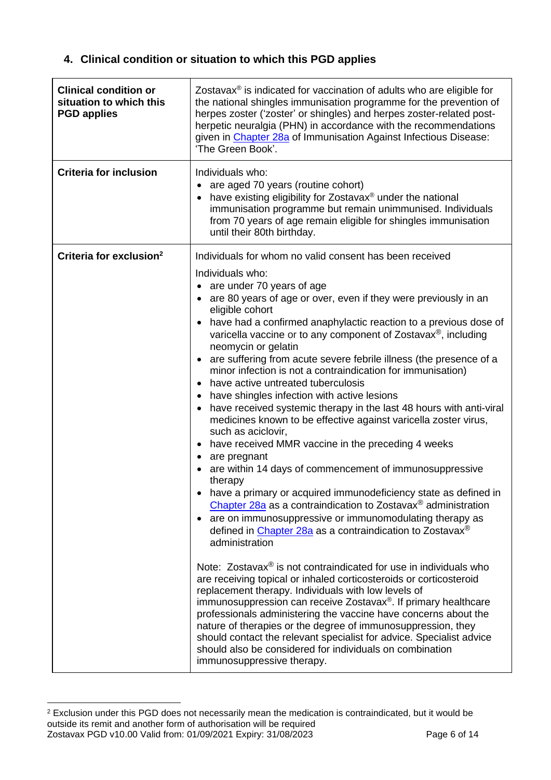### **4. Clinical condition or situation to which this PGD applies**

| <b>Clinical condition or</b><br>situation to which this<br><b>PGD applies</b> | Zostavax <sup>®</sup> is indicated for vaccination of adults who are eligible for<br>the national shingles immunisation programme for the prevention of<br>herpes zoster ('zoster' or shingles) and herpes zoster-related post-<br>herpetic neuralgia (PHN) in accordance with the recommendations<br>given in Chapter 28a of Immunisation Against Infectious Disease:<br>'The Green Book'.                                                                                                                                                                                                                                                                                                                                                                                                                                                                                                                                                                                                                                                                                                                                                                                                                                                                                                                                                                                                                                                                                                                                                                                                                                                                                                                                                                                                                                                                                     |
|-------------------------------------------------------------------------------|---------------------------------------------------------------------------------------------------------------------------------------------------------------------------------------------------------------------------------------------------------------------------------------------------------------------------------------------------------------------------------------------------------------------------------------------------------------------------------------------------------------------------------------------------------------------------------------------------------------------------------------------------------------------------------------------------------------------------------------------------------------------------------------------------------------------------------------------------------------------------------------------------------------------------------------------------------------------------------------------------------------------------------------------------------------------------------------------------------------------------------------------------------------------------------------------------------------------------------------------------------------------------------------------------------------------------------------------------------------------------------------------------------------------------------------------------------------------------------------------------------------------------------------------------------------------------------------------------------------------------------------------------------------------------------------------------------------------------------------------------------------------------------------------------------------------------------------------------------------------------------|
| <b>Criteria for inclusion</b>                                                 | Individuals who:<br>are aged 70 years (routine cohort)<br>$\bullet$<br>have existing eligibility for Zostavax® under the national<br>$\bullet$<br>immunisation programme but remain unimmunised. Individuals<br>from 70 years of age remain eligible for shingles immunisation<br>until their 80th birthday.                                                                                                                                                                                                                                                                                                                                                                                                                                                                                                                                                                                                                                                                                                                                                                                                                                                                                                                                                                                                                                                                                                                                                                                                                                                                                                                                                                                                                                                                                                                                                                    |
| Criteria for exclusion <sup>2</sup>                                           | Individuals for whom no valid consent has been received<br>Individuals who:<br>• are under 70 years of age<br>• are 80 years of age or over, even if they were previously in an<br>eligible cohort<br>have had a confirmed anaphylactic reaction to a previous dose of<br>$\bullet$<br>varicella vaccine or to any component of Zostavax <sup>®</sup> , including<br>neomycin or gelatin<br>are suffering from acute severe febrile illness (the presence of a<br>minor infection is not a contraindication for immunisation)<br>have active untreated tuberculosis<br>have shingles infection with active lesions<br>$\bullet$<br>have received systemic therapy in the last 48 hours with anti-viral<br>$\bullet$<br>medicines known to be effective against varicella zoster virus,<br>such as aciclovir,<br>have received MMR vaccine in the preceding 4 weeks<br>$\bullet$<br>are pregnant<br>are within 14 days of commencement of immunosuppressive<br>therapy<br>have a primary or acquired immunodeficiency state as defined in<br>Chapter 28a as a contraindication to Zostavax <sup>®</sup> administration<br>• are on immunosuppressive or immunomodulating therapy as<br>defined in Chapter 28a as a contraindication to Zostavax <sup>®</sup><br>administration<br>Note: Zostavax <sup>®</sup> is not contraindicated for use in individuals who<br>are receiving topical or inhaled corticosteroids or corticosteroid<br>replacement therapy. Individuals with low levels of<br>immunosuppression can receive Zostavax <sup>®</sup> . If primary healthcare<br>professionals administering the vaccine have concerns about the<br>nature of therapies or the degree of immunosuppression, they<br>should contact the relevant specialist for advice. Specialist advice<br>should also be considered for individuals on combination<br>immunosuppressive therapy. |

<span id="page-5-0"></span>Zostavax PGD v10.00 Valid from: 01/09/2021 Expiry: 31/08/2023 Page 6 of 14 <sup>2</sup> Exclusion under this PGD does not necessarily mean the medication is contraindicated, but it would be outside its remit and another form of authorisation will be required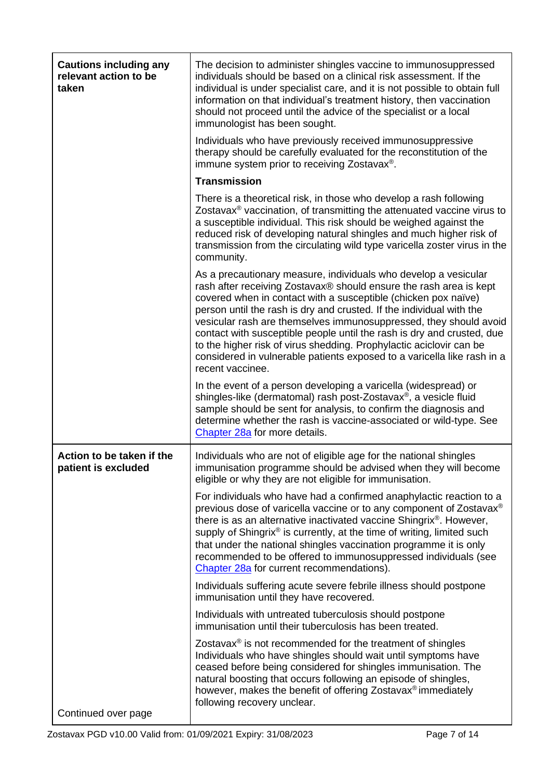| <b>Cautions including any</b><br>relevant action to be<br>taken | The decision to administer shingles vaccine to immunosuppressed<br>individuals should be based on a clinical risk assessment. If the<br>individual is under specialist care, and it is not possible to obtain full<br>information on that individual's treatment history, then vaccination<br>should not proceed until the advice of the specialist or a local<br>immunologist has been sought.<br>Individuals who have previously received immunosuppressive                                                                                                                                        |
|-----------------------------------------------------------------|------------------------------------------------------------------------------------------------------------------------------------------------------------------------------------------------------------------------------------------------------------------------------------------------------------------------------------------------------------------------------------------------------------------------------------------------------------------------------------------------------------------------------------------------------------------------------------------------------|
|                                                                 | therapy should be carefully evaluated for the reconstitution of the<br>immune system prior to receiving Zostavax <sup>®</sup> .                                                                                                                                                                                                                                                                                                                                                                                                                                                                      |
|                                                                 | <b>Transmission</b>                                                                                                                                                                                                                                                                                                                                                                                                                                                                                                                                                                                  |
|                                                                 | There is a theoretical risk, in those who develop a rash following<br>Zostavax <sup>®</sup> vaccination, of transmitting the attenuated vaccine virus to<br>a susceptible individual. This risk should be weighed against the<br>reduced risk of developing natural shingles and much higher risk of<br>transmission from the circulating wild type varicella zoster virus in the<br>community.                                                                                                                                                                                                      |
|                                                                 | As a precautionary measure, individuals who develop a vesicular<br>rash after receiving Zostavax® should ensure the rash area is kept<br>covered when in contact with a susceptible (chicken pox naïve)<br>person until the rash is dry and crusted. If the individual with the<br>vesicular rash are themselves immunosuppressed, they should avoid<br>contact with susceptible people until the rash is dry and crusted, due<br>to the higher risk of virus shedding. Prophylactic aciclovir can be<br>considered in vulnerable patients exposed to a varicella like rash in a<br>recent vaccinee. |
|                                                                 | In the event of a person developing a varicella (widespread) or<br>shingles-like (dermatomal) rash post-Zostavax <sup>®</sup> , a vesicle fluid<br>sample should be sent for analysis, to confirm the diagnosis and<br>determine whether the rash is vaccine-associated or wild-type. See<br>Chapter 28a for more details.                                                                                                                                                                                                                                                                           |
| Action to be taken if the<br>patient is excluded                | Individuals who are not of eligible age for the national shingles<br>immunisation programme should be advised when they will become<br>eligible or why they are not eligible for immunisation.                                                                                                                                                                                                                                                                                                                                                                                                       |
|                                                                 | For individuals who have had a confirmed anaphylactic reaction to a<br>previous dose of varicella vaccine or to any component of Zostavax®<br>there is as an alternative inactivated vaccine Shingrix®. However,<br>supply of Shingrix® is currently, at the time of writing, limited such<br>that under the national shingles vaccination programme it is only<br>recommended to be offered to immunosuppressed individuals (see<br>Chapter 28a for current recommendations).                                                                                                                       |
|                                                                 | Individuals suffering acute severe febrile illness should postpone<br>immunisation until they have recovered.                                                                                                                                                                                                                                                                                                                                                                                                                                                                                        |
|                                                                 | Individuals with untreated tuberculosis should postpone<br>immunisation until their tuberculosis has been treated.                                                                                                                                                                                                                                                                                                                                                                                                                                                                                   |
| Continued over page                                             | Zostavax <sup>®</sup> is not recommended for the treatment of shingles<br>Individuals who have shingles should wait until symptoms have<br>ceased before being considered for shingles immunisation. The<br>natural boosting that occurs following an episode of shingles,<br>however, makes the benefit of offering Zostavax <sup>®</sup> immediately<br>following recovery unclear.                                                                                                                                                                                                                |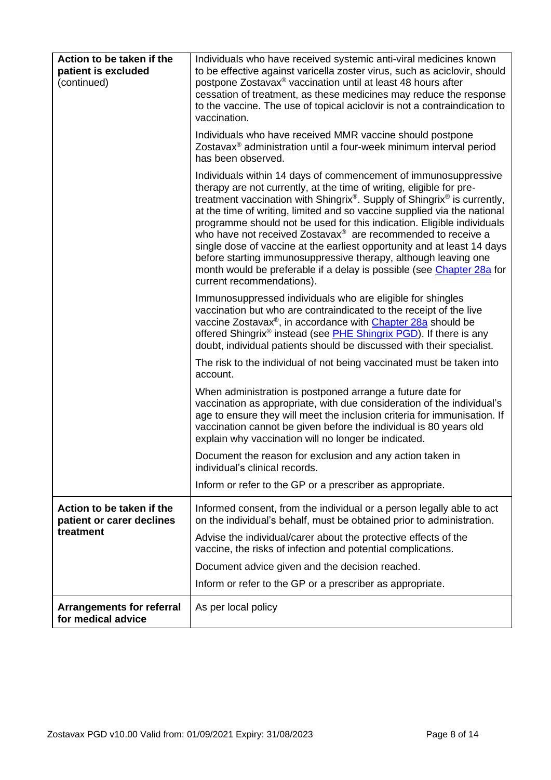| Action to be taken if the<br>patient is excluded<br>(continued) | Individuals who have received systemic anti-viral medicines known<br>to be effective against varicella zoster virus, such as aciclovir, should<br>postpone Zostavax <sup>®</sup> vaccination until at least 48 hours after<br>cessation of treatment, as these medicines may reduce the response<br>to the vaccine. The use of topical aciclovir is not a contraindication to<br>vaccination.                                                                                                                                                                                                                                                                                                                         |
|-----------------------------------------------------------------|-----------------------------------------------------------------------------------------------------------------------------------------------------------------------------------------------------------------------------------------------------------------------------------------------------------------------------------------------------------------------------------------------------------------------------------------------------------------------------------------------------------------------------------------------------------------------------------------------------------------------------------------------------------------------------------------------------------------------|
|                                                                 | Individuals who have received MMR vaccine should postpone<br>Zostavax <sup>®</sup> administration until a four-week minimum interval period<br>has been observed.                                                                                                                                                                                                                                                                                                                                                                                                                                                                                                                                                     |
|                                                                 | Individuals within 14 days of commencement of immunosuppressive<br>therapy are not currently, at the time of writing, eligible for pre-<br>treatment vaccination with Shingrix <sup>®</sup> . Supply of Shingrix <sup>®</sup> is currently,<br>at the time of writing, limited and so vaccine supplied via the national<br>programme should not be used for this indication. Eligible individuals<br>who have not received Zostavax® are recommended to receive a<br>single dose of vaccine at the earliest opportunity and at least 14 days<br>before starting immunosuppressive therapy, although leaving one<br>month would be preferable if a delay is possible (see Chapter 28a for<br>current recommendations). |
|                                                                 | Immunosuppressed individuals who are eligible for shingles<br>vaccination but who are contraindicated to the receipt of the live<br>vaccine Zostavax <sup>®</sup> , in accordance with Chapter 28a should be<br>offered Shingrix <sup>®</sup> instead (see <b>PHE Shingrix PGD</b> ). If there is any<br>doubt, individual patients should be discussed with their specialist.                                                                                                                                                                                                                                                                                                                                        |
|                                                                 | The risk to the individual of not being vaccinated must be taken into<br>account.                                                                                                                                                                                                                                                                                                                                                                                                                                                                                                                                                                                                                                     |
|                                                                 | When administration is postponed arrange a future date for<br>vaccination as appropriate, with due consideration of the individual's<br>age to ensure they will meet the inclusion criteria for immunisation. If<br>vaccination cannot be given before the individual is 80 years old<br>explain why vaccination will no longer be indicated.                                                                                                                                                                                                                                                                                                                                                                         |
|                                                                 | Document the reason for exclusion and any action taken in<br>individual's clinical records.                                                                                                                                                                                                                                                                                                                                                                                                                                                                                                                                                                                                                           |
|                                                                 | Inform or refer to the GP or a prescriber as appropriate.                                                                                                                                                                                                                                                                                                                                                                                                                                                                                                                                                                                                                                                             |
| Action to be taken if the<br>patient or carer declines          | Informed consent, from the individual or a person legally able to act<br>on the individual's behalf, must be obtained prior to administration.                                                                                                                                                                                                                                                                                                                                                                                                                                                                                                                                                                        |
| treatment                                                       | Advise the individual/carer about the protective effects of the<br>vaccine, the risks of infection and potential complications.                                                                                                                                                                                                                                                                                                                                                                                                                                                                                                                                                                                       |
|                                                                 | Document advice given and the decision reached.                                                                                                                                                                                                                                                                                                                                                                                                                                                                                                                                                                                                                                                                       |
|                                                                 | Inform or refer to the GP or a prescriber as appropriate.                                                                                                                                                                                                                                                                                                                                                                                                                                                                                                                                                                                                                                                             |
| <b>Arrangements for referral</b><br>for medical advice          | As per local policy                                                                                                                                                                                                                                                                                                                                                                                                                                                                                                                                                                                                                                                                                                   |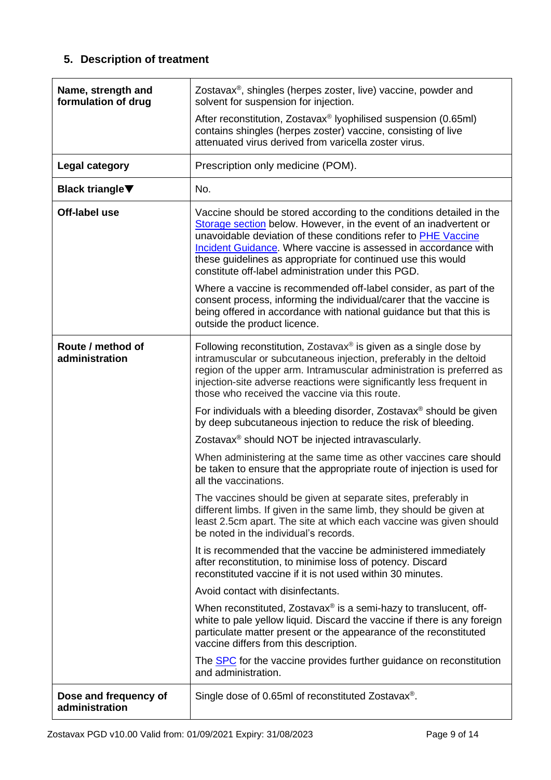### **5. Description of treatment**

| Name, strength and<br>formulation of drug | Zostavax <sup>®</sup> , shingles (herpes zoster, live) vaccine, powder and<br>solvent for suspension for injection.                                                                                                                                                                                                                                                                                          |
|-------------------------------------------|--------------------------------------------------------------------------------------------------------------------------------------------------------------------------------------------------------------------------------------------------------------------------------------------------------------------------------------------------------------------------------------------------------------|
|                                           | After reconstitution, Zostavax <sup>®</sup> lyophilised suspension (0.65ml)<br>contains shingles (herpes zoster) vaccine, consisting of live<br>attenuated virus derived from varicella zoster virus.                                                                                                                                                                                                        |
| <b>Legal category</b>                     | Prescription only medicine (POM).                                                                                                                                                                                                                                                                                                                                                                            |
| <b>Black triangle</b> ▼                   | No.                                                                                                                                                                                                                                                                                                                                                                                                          |
| Off-label use                             | Vaccine should be stored according to the conditions detailed in the<br>Storage section below. However, in the event of an inadvertent or<br>unavoidable deviation of these conditions refer to <b>PHE Vaccine</b><br>Incident Guidance. Where vaccine is assessed in accordance with<br>these guidelines as appropriate for continued use this would<br>constitute off-label administration under this PGD. |
|                                           | Where a vaccine is recommended off-label consider, as part of the<br>consent process, informing the individual/carer that the vaccine is<br>being offered in accordance with national guidance but that this is<br>outside the product licence.                                                                                                                                                              |
| Route / method of<br>administration       | Following reconstitution, Zostavax <sup>®</sup> is given as a single dose by<br>intramuscular or subcutaneous injection, preferably in the deltoid<br>region of the upper arm. Intramuscular administration is preferred as<br>injection-site adverse reactions were significantly less frequent in<br>those who received the vaccine via this route.                                                        |
|                                           | For individuals with a bleeding disorder, Zostavax <sup>®</sup> should be given<br>by deep subcutaneous injection to reduce the risk of bleeding.                                                                                                                                                                                                                                                            |
|                                           | Zostavax <sup>®</sup> should NOT be injected intravascularly.                                                                                                                                                                                                                                                                                                                                                |
|                                           | When administering at the same time as other vaccines care should<br>be taken to ensure that the appropriate route of injection is used for<br>all the vaccinations.                                                                                                                                                                                                                                         |
|                                           | The vaccines should be given at separate sites, preferably in<br>different limbs. If given in the same limb, they should be given at<br>least 2.5cm apart. The site at which each vaccine was given should<br>be noted in the individual's records.                                                                                                                                                          |
|                                           | It is recommended that the vaccine be administered immediately<br>after reconstitution, to minimise loss of potency. Discard<br>reconstituted vaccine if it is not used within 30 minutes.                                                                                                                                                                                                                   |
|                                           | Avoid contact with disinfectants.                                                                                                                                                                                                                                                                                                                                                                            |
|                                           | When reconstituted, Zostavax® is a semi-hazy to translucent, off-<br>white to pale yellow liquid. Discard the vaccine if there is any foreign<br>particulate matter present or the appearance of the reconstituted<br>vaccine differs from this description.                                                                                                                                                 |
|                                           | The <b>SPC</b> for the vaccine provides further guidance on reconstitution<br>and administration.                                                                                                                                                                                                                                                                                                            |
| Dose and frequency of<br>administration   | Single dose of 0.65ml of reconstituted Zostavax <sup>®</sup> .                                                                                                                                                                                                                                                                                                                                               |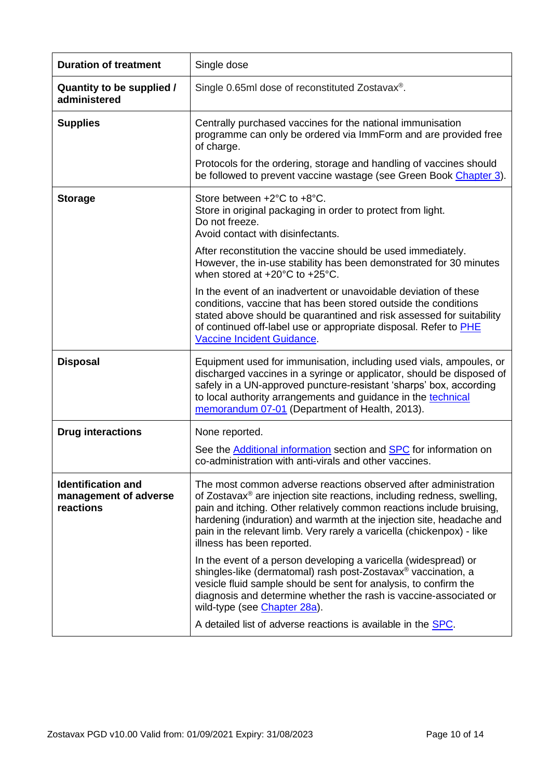| <b>Duration of treatment</b>                                    | Single dose                                                                                                                                                                                                                                                                                                                                                                                                      |
|-----------------------------------------------------------------|------------------------------------------------------------------------------------------------------------------------------------------------------------------------------------------------------------------------------------------------------------------------------------------------------------------------------------------------------------------------------------------------------------------|
| Quantity to be supplied /<br>administered                       | Single 0.65ml dose of reconstituted Zostavax <sup>®</sup> .                                                                                                                                                                                                                                                                                                                                                      |
| <b>Supplies</b>                                                 | Centrally purchased vaccines for the national immunisation<br>programme can only be ordered via ImmForm and are provided free<br>of charge.                                                                                                                                                                                                                                                                      |
|                                                                 | Protocols for the ordering, storage and handling of vaccines should<br>be followed to prevent vaccine wastage (see Green Book Chapter 3).                                                                                                                                                                                                                                                                        |
| <b>Storage</b>                                                  | Store between +2°C to +8°C.<br>Store in original packaging in order to protect from light.<br>Do not freeze.<br>Avoid contact with disinfectants.                                                                                                                                                                                                                                                                |
|                                                                 | After reconstitution the vaccine should be used immediately.<br>However, the in-use stability has been demonstrated for 30 minutes<br>when stored at +20°C to +25°C.                                                                                                                                                                                                                                             |
|                                                                 | In the event of an inadvertent or unavoidable deviation of these<br>conditions, vaccine that has been stored outside the conditions<br>stated above should be quarantined and risk assessed for suitability<br>of continued off-label use or appropriate disposal. Refer to PHE<br>Vaccine Incident Guidance.                                                                                                    |
| <b>Disposal</b>                                                 | Equipment used for immunisation, including used vials, ampoules, or<br>discharged vaccines in a syringe or applicator, should be disposed of<br>safely in a UN-approved puncture-resistant 'sharps' box, according<br>to local authority arrangements and guidance in the technical<br>memorandum 07-01 (Department of Health, 2013).                                                                            |
| <b>Drug interactions</b>                                        | None reported.                                                                                                                                                                                                                                                                                                                                                                                                   |
|                                                                 | See the Additional information section and <b>SPC</b> for information on<br>co-administration with anti-virals and other vaccines.                                                                                                                                                                                                                                                                               |
| <b>Identification and</b><br>management of adverse<br>reactions | The most common adverse reactions observed after administration<br>of Zostavax <sup>®</sup> are injection site reactions, including redness, swelling,<br>pain and itching. Other relatively common reactions include bruising,<br>hardening (induration) and warmth at the injection site, headache and<br>pain in the relevant limb. Very rarely a varicella (chickenpox) - like<br>illness has been reported. |
|                                                                 | In the event of a person developing a varicella (widespread) or<br>shingles-like (dermatomal) rash post-Zostavax <sup>®</sup> vaccination, a<br>vesicle fluid sample should be sent for analysis, to confirm the<br>diagnosis and determine whether the rash is vaccine-associated or<br>wild-type (see Chapter 28a).                                                                                            |
|                                                                 | A detailed list of adverse reactions is available in the <b>SPC</b> .                                                                                                                                                                                                                                                                                                                                            |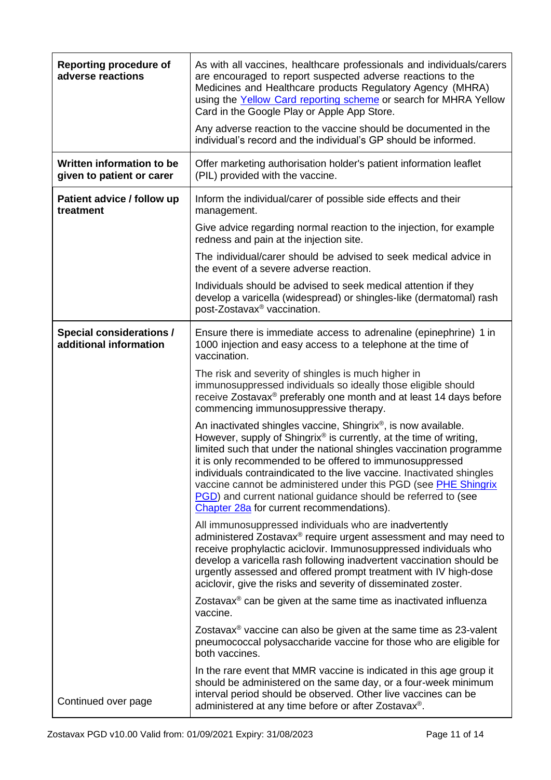<span id="page-10-0"></span>

| <b>Reporting procedure of</b><br>adverse reactions        | As with all vaccines, healthcare professionals and individuals/carers<br>are encouraged to report suspected adverse reactions to the<br>Medicines and Healthcare products Regulatory Agency (MHRA)<br>using the Yellow Card reporting scheme or search for MHRA Yellow<br>Card in the Google Play or Apple App Store.<br>Any adverse reaction to the vaccine should be documented in the<br>individual's record and the individual's GP should be informed.                                                                                                       |  |  |
|-----------------------------------------------------------|-------------------------------------------------------------------------------------------------------------------------------------------------------------------------------------------------------------------------------------------------------------------------------------------------------------------------------------------------------------------------------------------------------------------------------------------------------------------------------------------------------------------------------------------------------------------|--|--|
| Written information to be<br>given to patient or carer    | Offer marketing authorisation holder's patient information leaflet<br>(PIL) provided with the vaccine.                                                                                                                                                                                                                                                                                                                                                                                                                                                            |  |  |
| Patient advice / follow up<br>treatment                   | Inform the individual/carer of possible side effects and their<br>management.                                                                                                                                                                                                                                                                                                                                                                                                                                                                                     |  |  |
|                                                           | Give advice regarding normal reaction to the injection, for example<br>redness and pain at the injection site.                                                                                                                                                                                                                                                                                                                                                                                                                                                    |  |  |
|                                                           | The individual/carer should be advised to seek medical advice in<br>the event of a severe adverse reaction.                                                                                                                                                                                                                                                                                                                                                                                                                                                       |  |  |
|                                                           | Individuals should be advised to seek medical attention if they<br>develop a varicella (widespread) or shingles-like (dermatomal) rash<br>post-Zostavax <sup>®</sup> vaccination.                                                                                                                                                                                                                                                                                                                                                                                 |  |  |
| <b>Special considerations /</b><br>additional information | Ensure there is immediate access to adrenaline (epinephrine) 1 in<br>1000 injection and easy access to a telephone at the time of<br>vaccination.                                                                                                                                                                                                                                                                                                                                                                                                                 |  |  |
|                                                           | The risk and severity of shingles is much higher in<br>immunosuppressed individuals so ideally those eligible should<br>receive Zostavax <sup>®</sup> preferably one month and at least 14 days before<br>commencing immunosuppressive therapy.                                                                                                                                                                                                                                                                                                                   |  |  |
|                                                           | An inactivated shingles vaccine, Shingrix <sup>®</sup> , is now available.<br>However, supply of Shingrix <sup>®</sup> is currently, at the time of writing,<br>limited such that under the national shingles vaccination programme<br>it is only recommended to be offered to immunosuppressed<br>individuals contraindicated to the live vaccine. Inactivated shingles<br>vaccine cannot be administered under this PGD (see PHE Shingrix<br><b>PGD</b> ) and current national guidance should be referred to (see<br>Chapter 28a for current recommendations). |  |  |
|                                                           | All immunosuppressed individuals who are inadvertently<br>administered Zostavax® require urgent assessment and may need to<br>receive prophylactic aciclovir. Immunosuppressed individuals who<br>develop a varicella rash following inadvertent vaccination should be<br>urgently assessed and offered prompt treatment with IV high-dose<br>aciclovir, give the risks and severity of disseminated zoster.                                                                                                                                                      |  |  |
|                                                           | Zostavax <sup>®</sup> can be given at the same time as inactivated influenza<br>vaccine.                                                                                                                                                                                                                                                                                                                                                                                                                                                                          |  |  |
|                                                           | Zostavax <sup>®</sup> vaccine can also be given at the same time as 23-valent<br>pneumococcal polysaccharide vaccine for those who are eligible for<br>both vaccines.                                                                                                                                                                                                                                                                                                                                                                                             |  |  |
| Continued over page                                       | In the rare event that MMR vaccine is indicated in this age group it<br>should be administered on the same day, or a four-week minimum<br>interval period should be observed. Other live vaccines can be<br>administered at any time before or after Zostavax <sup>®</sup> .                                                                                                                                                                                                                                                                                      |  |  |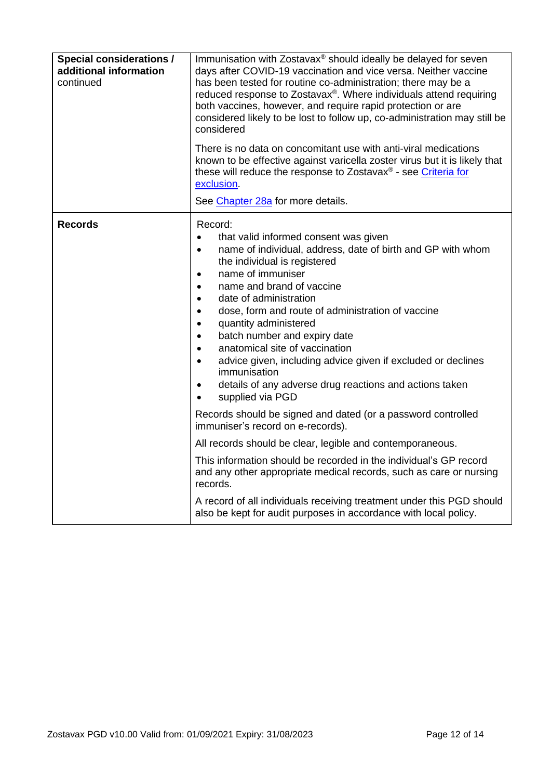| <b>Special considerations /</b><br>additional information<br>continued | Immunisation with Zostavax® should ideally be delayed for seven<br>days after COVID-19 vaccination and vice versa. Neither vaccine<br>has been tested for routine co-administration; there may be a<br>reduced response to Zostavax®. Where individuals attend requiring<br>both vaccines, however, and require rapid protection or are<br>considered likely to be lost to follow up, co-administration may still be<br>considered<br>There is no data on concomitant use with anti-viral medications<br>known to be effective against varicella zoster virus but it is likely that<br>these will reduce the response to Zostavax <sup>®</sup> - see Criteria for<br>exclusion.<br>See Chapter 28a for more details. |  |  |
|------------------------------------------------------------------------|----------------------------------------------------------------------------------------------------------------------------------------------------------------------------------------------------------------------------------------------------------------------------------------------------------------------------------------------------------------------------------------------------------------------------------------------------------------------------------------------------------------------------------------------------------------------------------------------------------------------------------------------------------------------------------------------------------------------|--|--|
| <b>Records</b>                                                         | Record:<br>that valid informed consent was given<br>$\bullet$<br>name of individual, address, date of birth and GP with whom<br>$\bullet$<br>the individual is registered<br>name of immuniser<br>$\bullet$<br>name and brand of vaccine<br>$\bullet$<br>date of administration<br>$\bullet$<br>dose, form and route of administration of vaccine<br>$\bullet$<br>quantity administered<br>$\bullet$<br>batch number and expiry date<br>$\bullet$<br>anatomical site of vaccination<br>$\bullet$<br>advice given, including advice given if excluded or declines<br>$\bullet$<br>immunisation<br>details of any adverse drug reactions and actions taken<br>$\bullet$<br>supplied via PGD<br>$\bullet$               |  |  |
|                                                                        | Records should be signed and dated (or a password controlled<br>immuniser's record on e-records).                                                                                                                                                                                                                                                                                                                                                                                                                                                                                                                                                                                                                    |  |  |
|                                                                        | All records should be clear, legible and contemporaneous.                                                                                                                                                                                                                                                                                                                                                                                                                                                                                                                                                                                                                                                            |  |  |
|                                                                        | This information should be recorded in the individual's GP record<br>and any other appropriate medical records, such as care or nursing<br>records.                                                                                                                                                                                                                                                                                                                                                                                                                                                                                                                                                                  |  |  |
|                                                                        | A record of all individuals receiving treatment under this PGD should<br>also be kept for audit purposes in accordance with local policy.                                                                                                                                                                                                                                                                                                                                                                                                                                                                                                                                                                            |  |  |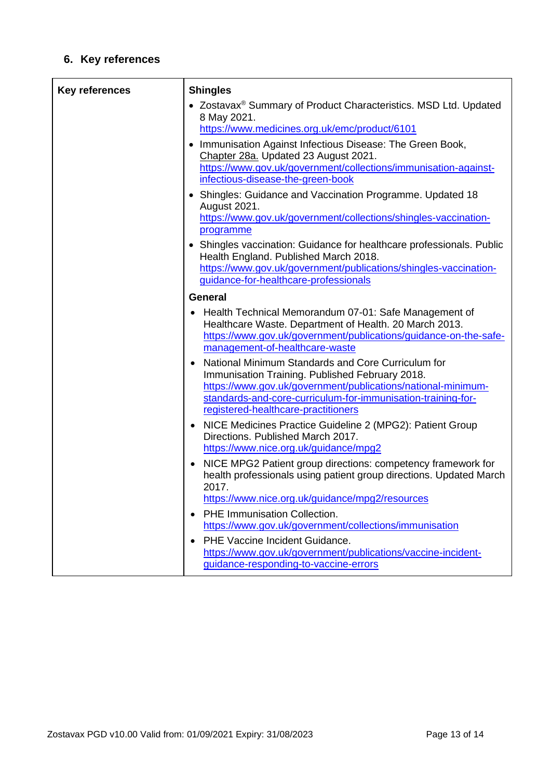### **6. Key references**

| <b>Key references</b> | <b>Shingles</b><br>• Zostavax <sup>®</sup> Summary of Product Characteristics. MSD Ltd. Updated<br>8 May 2021.<br>https://www.medicines.org.uk/emc/product/6101<br>Immunisation Against Infectious Disease: The Green Book,<br>Chapter 28a. Updated 23 August 2021.<br>https://www.gov.uk/government/collections/immunisation-against-<br>infectious-disease-the-green-book                                                                                                                           |
|-----------------------|-------------------------------------------------------------------------------------------------------------------------------------------------------------------------------------------------------------------------------------------------------------------------------------------------------------------------------------------------------------------------------------------------------------------------------------------------------------------------------------------------------|
|                       | • Shingles: Guidance and Vaccination Programme. Updated 18<br>August 2021.<br>https://www.gov.uk/government/collections/shingles-vaccination-<br>programme<br>• Shingles vaccination: Guidance for healthcare professionals. Public<br>Health England. Published March 2018.<br>https://www.gov.uk/government/publications/shingles-vaccination-<br>guidance-for-healthcare-professionals                                                                                                             |
|                       | <b>General</b>                                                                                                                                                                                                                                                                                                                                                                                                                                                                                        |
|                       | Health Technical Memorandum 07-01: Safe Management of<br>Healthcare Waste. Department of Health. 20 March 2013.<br>https://www.gov.uk/government/publications/guidance-on-the-safe-<br>management-of-healthcare-waste<br>National Minimum Standards and Core Curriculum for<br>Immunisation Training. Published February 2018.<br>https://www.gov.uk/government/publications/national-minimum-<br>standards-and-core-curriculum-for-immunisation-training-for-<br>registered-healthcare-practitioners |
|                       | NICE Medicines Practice Guideline 2 (MPG2): Patient Group<br>Directions. Published March 2017.<br>https://www.nice.org.uk/guidance/mpg2                                                                                                                                                                                                                                                                                                                                                               |
|                       | NICE MPG2 Patient group directions: competency framework for<br>$\bullet$<br>health professionals using patient group directions. Updated March<br>2017.<br>https://www.nice.org.uk/guidance/mpg2/resources                                                                                                                                                                                                                                                                                           |
|                       | PHE Immunisation Collection.<br>$\bullet$                                                                                                                                                                                                                                                                                                                                                                                                                                                             |
|                       | https://www.gov.uk/government/collections/immunisation                                                                                                                                                                                                                                                                                                                                                                                                                                                |
|                       | PHE Vaccine Incident Guidance.<br>https://www.gov.uk/government/publications/vaccine-incident-<br>guidance-responding-to-vaccine-errors                                                                                                                                                                                                                                                                                                                                                               |